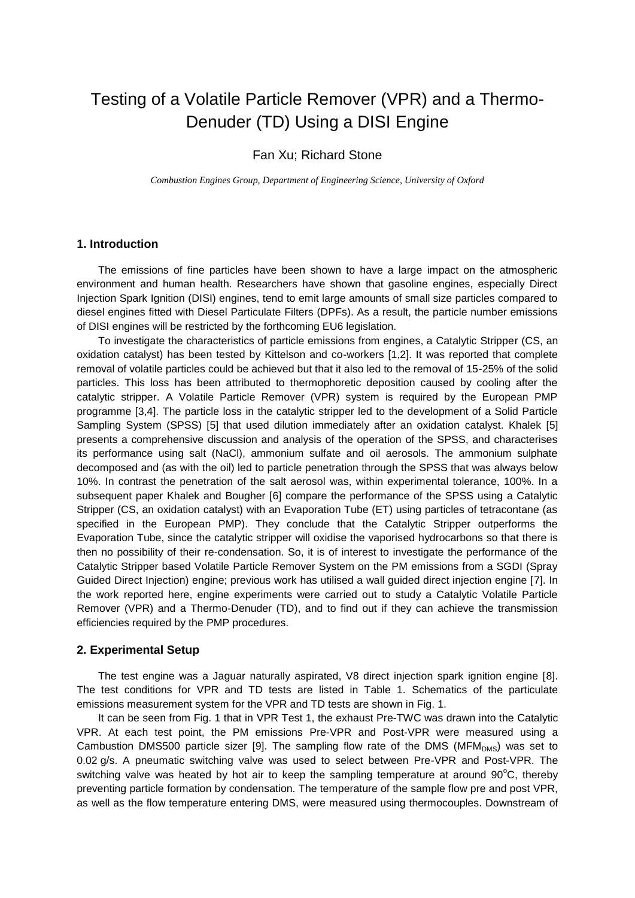#### Testing of a Volatile Particle Remover (VPR) and a Thermo-Denuder (TD) Using a DISI Engine

#### Fan Xu; Richard Stone

*Combustion Engines Group, Department of Engineering Science, University of Oxford*

#### **1. Introduction**

The emissions of fine particles have been shown to have a large impact on the atmospheric environment and human health. Researchers have shown that gasoline engines, especially Direct Injection Spark Ignition (DISI) engines, tend to emit large amounts of small size particles compared to diesel engines fitted with Diesel Particulate Filters (DPFs). As a result, the particle number emissions of DISI engines will be restricted by the forthcoming EU6 legislation.

To investigate the characteristics of particle emissions from engines, a Catalytic Stripper (CS, an oxidation catalyst) has been tested by Kittelson and co-workers [1,2]. It was reported that complete removal of volatile particles could be achieved but that it also led to the removal of 15-25% of the solid particles. This loss has been attributed to thermophoretic deposition caused by cooling after the catalytic stripper. A Volatile Particle Remover (VPR) system is required by the European PMP programme [3,4]. The particle loss in the catalytic stripper led to the development of a Solid Particle Sampling System (SPSS) [5] that used dilution immediately after an oxidation catalyst. Khalek [5] presents a comprehensive discussion and analysis of the operation of the SPSS, and characterises its performance using salt (NaCl), ammonium sulfate and oil aerosols. The ammonium sulphate decomposed and (as with the oil) led to particle penetration through the SPSS that was always below 10%. In contrast the penetration of the salt aerosol was, within experimental tolerance, 100%. In a subsequent paper Khalek and Bougher [6] compare the performance of the SPSS using a Catalytic Stripper (CS, an oxidation catalyst) with an Evaporation Tube (ET) using particles of tetracontane (as specified in the European PMP). They conclude that the Catalytic Stripper outperforms the Evaporation Tube, since the catalytic stripper will oxidise the vaporised hydrocarbons so that there is then no possibility of their re-condensation. So, it is of interest to investigate the performance of the Catalytic Stripper based Volatile Particle Remover System on the PM emissions from a SGDI (Spray Guided Direct Injection) engine; previous work has utilised a wall guided direct injection engine [7]. In the work reported here, engine experiments were carried out to study a Catalytic Volatile Particle Remover (VPR) and a Thermo-Denuder (TD), and to find out if they can achieve the transmission efficiencies required by the PMP procedures.

#### **2. Experimental Setup**

The test engine was a Jaguar naturally aspirated, V8 direct injection spark ignition engine [8]. The test conditions for VPR and TD tests are listed in Table 1. Schematics of the particulate emissions measurement system for the VPR and TD tests are shown in Fig. 1.

It can be seen from Fig. 1 that in VPR Test 1, the exhaust Pre-TWC was drawn into the Catalytic VPR. At each test point, the PM emissions Pre-VPR and Post-VPR were measured using a Cambustion DMS500 particle sizer [9]. The sampling flow rate of the DMS ( $MFM_{DMS}$ ) was set to 0.02 g/s. A pneumatic switching valve was used to select between Pre-VPR and Post-VPR. The switching valve was heated by hot air to keep the sampling temperature at around  $90^{\circ}$ C, thereby preventing particle formation by condensation. The temperature of the sample flow pre and post VPR, as well as the flow temperature entering DMS, were measured using thermocouples. Downstream of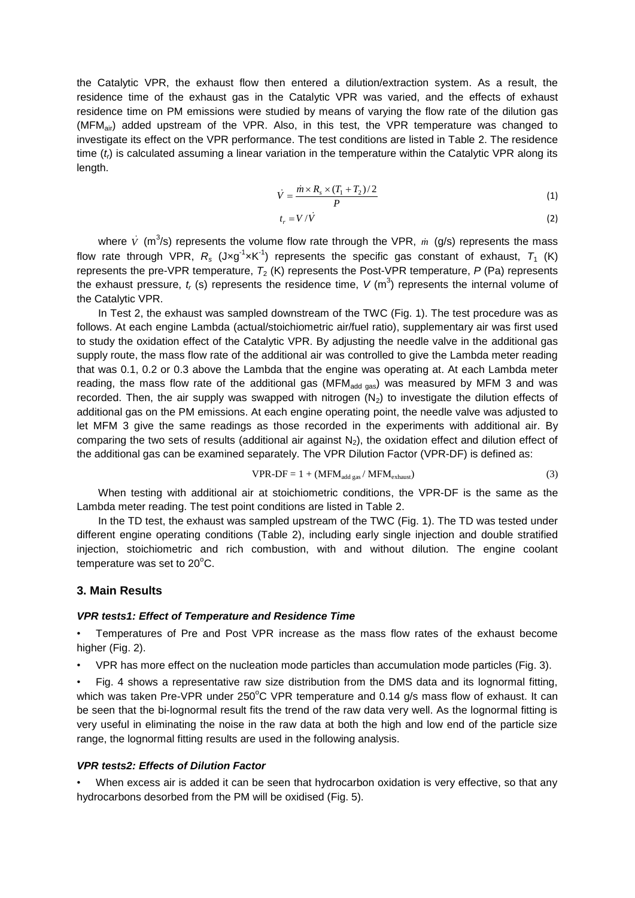the Catalytic VPR, the exhaust flow then entered a dilution/extraction system. As a result, the residence time of the exhaust gas in the Catalytic VPR was varied, and the effects of exhaust residence time on PM emissions were studied by means of varying the flow rate of the dilution gas (MFMair) added upstream of the VPR. Also, in this test, the VPR temperature was changed to investigate its effect on the VPR performance. The test conditions are listed in Table 2. The residence time (*t<sub>i</sub>*) is calculated assuming a linear variation in the temperature within the Catalytic VPR along its length.

$$
\dot{V} = \frac{\dot{m} \times R_s \times (T_1 + T_2)/2}{P}
$$
\n(1)

$$
t_r = V/\dot{V}
$$
 (2)

where  $\dot{V}$  (m<sup>3</sup>/s) represents the volume flow rate through the VPR,  $\dot{m}$  (g/s) represents the mass flow rate through VPR,  $R_s$  (Jxg<sup>-1</sup>xK<sup>-1</sup>) represents the specific gas constant of exhaust,  $T_1$  (K) represents the pre-VPR temperature,  $T_2$  (K) represents the Post-VPR temperature,  $P$  (Pa) represents the exhaust pressure,  $t_r$  (s) represents the residence time,  $V$  (m<sup>3</sup>) represents the internal volume of the Catalytic VPR.

In Test 2, the exhaust was sampled downstream of the TWC (Fig. 1). The test procedure was as follows. At each engine Lambda (actual/stoichiometric air/fuel ratio), supplementary air was first used to study the oxidation effect of the Catalytic VPR. By adjusting the needle valve in the additional gas supply route, the mass flow rate of the additional air was controlled to give the Lambda meter reading that was 0.1, 0.2 or 0.3 above the Lambda that the engine was operating at. At each Lambda meter reading, the mass flow rate of the additional gas ( $MFM<sub>add gas</sub>$ ) was measured by MFM 3 and was recorded. Then, the air supply was swapped with nitrogen  $(N_2)$  to investigate the dilution effects of additional gas on the PM emissions. At each engine operating point, the needle valve was adjusted to let MFM 3 give the same readings as those recorded in the experiments with additional air. By comparing the two sets of results (additional air against  $N<sub>2</sub>$ ), the oxidation effect and dilution effect of the additional gas can be examined separately. The VPR Dilution Factor (VPR-DF) is defined as:

$$
VPR-DF = 1 + (MFMadd gas / MFMexhaust)
$$
 (3)

When testing with additional air at stoichiometric conditions, the VPR-DF is the same as the Lambda meter reading. The test point conditions are listed in Table 2.

In the TD test, the exhaust was sampled upstream of the TWC (Fig. 1). The TD was tested under different engine operating conditions (Table 2), including early single injection and double stratified injection, stoichiometric and rich combustion, with and without dilution. The engine coolant temperature was set to  $20^{\circ}$ C.

#### **3. Main Results**

#### *VPR tests1: Effect of Temperature and Residence Time*

• Temperatures of Pre and Post VPR increase as the mass flow rates of the exhaust become higher (Fig. 2).

• VPR has more effect on the nucleation mode particles than accumulation mode particles (Fig. 3).

• Fig. 4 shows a representative raw size distribution from the DMS data and its lognormal fitting, which was taken Pre-VPR under 250 $^{\circ}$ C VPR temperature and 0.14 g/s mass flow of exhaust. It can be seen that the bi-lognormal result fits the trend of the raw data very well. As the lognormal fitting is very useful in eliminating the noise in the raw data at both the high and low end of the particle size range, the lognormal fitting results are used in the following analysis.

#### *VPR tests2: Effects of Dilution Factor*

When excess air is added it can be seen that hydrocarbon oxidation is very effective, so that any hydrocarbons desorbed from the PM will be oxidised (Fig. 5).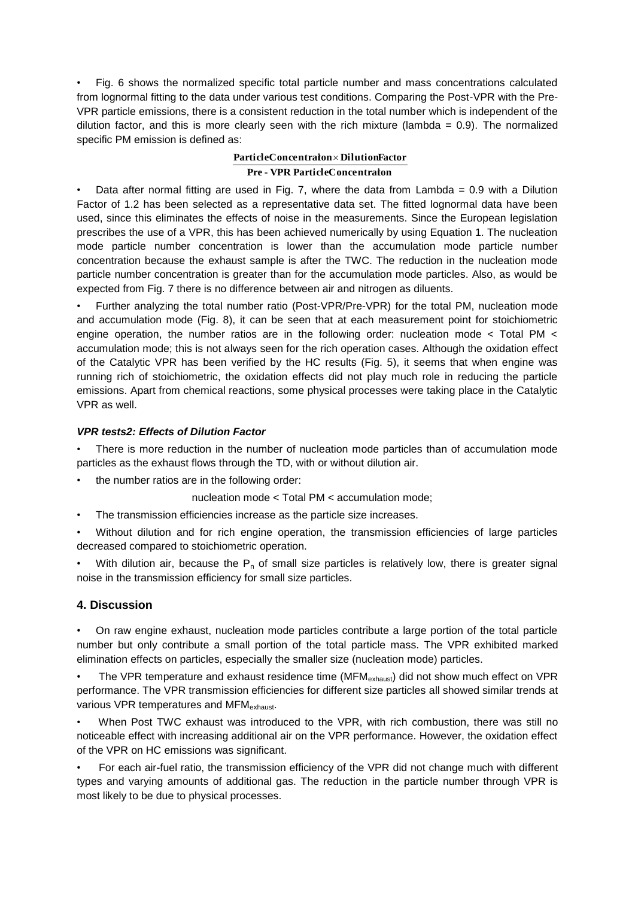• Fig. 6 shows the normalized specific total particle number and mass concentrations calculated from lognormal fitting to the data under various test conditions. Comparing the Post-VPR with the Pre-VPR particle emissions, there is a consistent reduction in the total number which is independent of the dilution factor, and this is more clearly seen with the rich mixture (lambda  $= 0.9$ ). The normalized specific PM emission is defined as:

#### **Pre - VPR ParticleConcentration ParticleConcentration DilutionFactor**

Data after normal fitting are used in Fig. 7, where the data from Lambda =  $0.9$  with a Dilution Factor of 1.2 has been selected as a representative data set. The fitted lognormal data have been used, since this eliminates the effects of noise in the measurements. Since the European legislation prescribes the use of a VPR, this has been achieved numerically by using Equation 1. The nucleation mode particle number concentration is lower than the accumulation mode particle number concentration because the exhaust sample is after the TWC. The reduction in the nucleation mode particle number concentration is greater than for the accumulation mode particles. Also, as would be expected from Fig. 7 there is no difference between air and nitrogen as diluents.

• Further analyzing the total number ratio (Post-VPR/Pre-VPR) for the total PM, nucleation mode and accumulation mode (Fig. 8), it can be seen that at each measurement point for stoichiometric engine operation, the number ratios are in the following order: nucleation mode < Total PM < accumulation mode; this is not always seen for the rich operation cases. Although the oxidation effect of the Catalytic VPR has been verified by the HC results (Fig. 5), it seems that when engine was running rich of stoichiometric, the oxidation effects did not play much role in reducing the particle emissions. Apart from chemical reactions, some physical processes were taking place in the Catalytic VPR as well.

#### *VPR tests2: Effects of Dilution Factor*

There is more reduction in the number of nucleation mode particles than of accumulation mode particles as the exhaust flows through the TD, with or without dilution air.

the number ratios are in the following order:

nucleation mode < Total PM < accumulation mode;

The transmission efficiencies increase as the particle size increases.

• Without dilution and for rich engine operation, the transmission efficiencies of large particles decreased compared to stoichiometric operation.

With dilution air, because the  $P_n$  of small size particles is relatively low, there is greater signal noise in the transmission efficiency for small size particles.

#### **4. Discussion**

• On raw engine exhaust, nucleation mode particles contribute a large portion of the total particle number but only contribute a small portion of the total particle mass. The VPR exhibited marked elimination effects on particles, especially the smaller size (nucleation mode) particles.

The VPR temperature and exhaust residence time (MFM<sub>exhaust</sub>) did not show much effect on VPR performance. The VPR transmission efficiencies for different size particles all showed similar trends at various VPR temperatures and MFM<sub>exhaust</sub>.

• When Post TWC exhaust was introduced to the VPR, with rich combustion, there was still no noticeable effect with increasing additional air on the VPR performance. However, the oxidation effect of the VPR on HC emissions was significant.

• For each air-fuel ratio, the transmission efficiency of the VPR did not change much with different types and varying amounts of additional gas. The reduction in the particle number through VPR is most likely to be due to physical processes.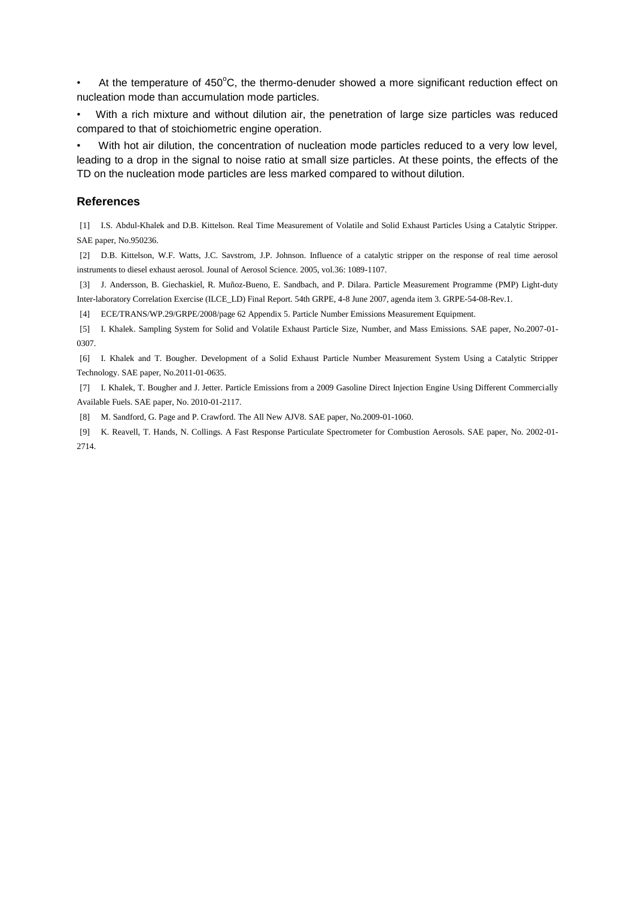• At the temperature of  $450^{\circ}$ C, the thermo-denuder showed a more significant reduction effect on nucleation mode than accumulation mode particles.

• With a rich mixture and without dilution air, the penetration of large size particles was reduced compared to that of stoichiometric engine operation.

• With hot air dilution, the concentration of nucleation mode particles reduced to a very low level, leading to a drop in the signal to noise ratio at small size particles. At these points, the effects of the TD on the nucleation mode particles are less marked compared to without dilution.

#### **References**

[1] I.S. Abdul-Khalek and D.B. Kittelson. Real Time Measurement of Volatile and Solid Exhaust Particles Using a Catalytic Stripper. SAE paper, No.950236.

[2] D.B. Kittelson, W.F. Watts, J.C. Savstrom, J.P. Johnson. Influence of a catalytic stripper on the response of real time aerosol instruments to diesel exhaust aerosol. Jounal of Aerosol Science. 2005, vol.36: 1089-1107.

[3] J. Andersson, B. Giechaskiel, R. Muñoz-Bueno, E. Sandbach, and P. Dilara. Particle Measurement Programme (PMP) Light-duty Inter-laboratory Correlation Exercise (ILCE\_LD) Final Report. 54th GRPE, 4-8 June 2007, agenda item 3. GRPE-54-08-Rev.1.

[4] ECE/TRANS/WP.29/GRPE/2008/page 62 Appendix 5. Particle Number Emissions Measurement Equipment.

[5] I. Khalek. Sampling System for Solid and Volatile Exhaust Particle Size, Number, and Mass Emissions. SAE paper, No.2007-01- 0307.

[6] I. Khalek and T. Bougher. Development of a Solid Exhaust Particle Number Measurement System Using a Catalytic Stripper Technology. SAE paper, No.2011-01-0635.

[7] I. Khalek, T. Bougher and J. Jetter. Particle Emissions from a 2009 Gasoline Direct Injection Engine Using Different Commercially Available Fuels. SAE paper, No. 2010-01-2117.

[8] M. Sandford, G. Page and P. Crawford. The All New AJV8. SAE paper, No.2009-01-1060.

[9] K. Reavell, T. Hands, N. Collings. A Fast Response Particulate Spectrometer for Combustion Aerosols. SAE paper, No. 2002-01- 2714.